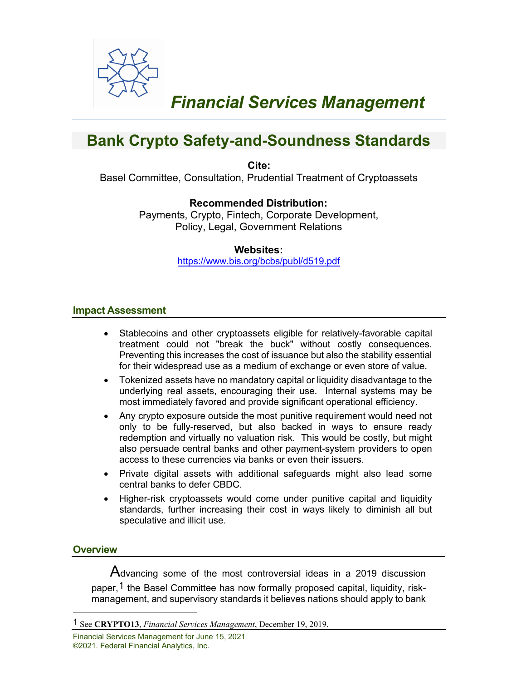

# *Financial Services Management*

## **Bank Crypto Safety-and-Soundness Standards**

**Cite:** 

Basel Committee, Consultation, Prudential Treatment of Cryptoassets

## **Recommended Distribution:**

Payments, Crypto, Fintech, Corporate Development, Policy, Legal, Government Relations

## **Websites:**

<https://www.bis.org/bcbs/publ/d519.pdf>

#### **Impact Assessment**

- Stablecoins and other cryptoassets eligible for relatively-favorable capital treatment could not "break the buck" without costly consequences. Preventing this increases the cost of issuance but also the stability essential for their widespread use as a medium of exchange or even store of value.
- Tokenized assets have no mandatory capital or liquidity disadvantage to the underlying real assets, encouraging their use. Internal systems may be most immediately favored and provide significant operational efficiency.
- Any crypto exposure outside the most punitive requirement would need not only to be fully-reserved, but also backed in ways to ensure ready redemption and virtually no valuation risk. This would be costly, but might also persuade central banks and other payment-system providers to open access to these currencies via banks or even their issuers.
- Private digital assets with additional safeguards might also lead some central banks to defer CBDC.
- Higher-risk cryptoassets would come under punitive capital and liquidity standards, further increasing their cost in ways likely to diminish all but speculative and illicit use.

## **Overview**

Advancing some of the most controversial ideas in a 2019 discussion paper,<sup>[1](#page-0-0)</sup> the Basel Committee has now formally proposed capital, liquidity, riskmanagement, and supervisory standards it believes nations should apply to bank

Financial Services Management for June 15, 2021 ©2021. Federal Financial Analytics, Inc.

<span id="page-0-0"></span><sup>1</sup> See **CRYPTO13**, *Financial Services Management*, December 19, 2019.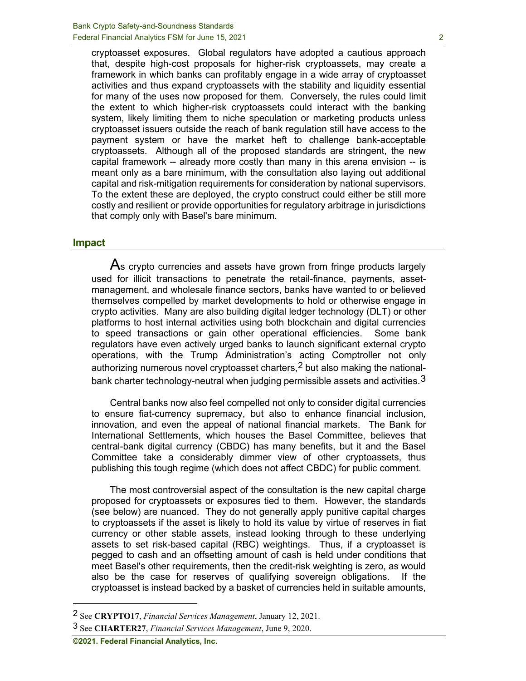cryptoasset exposures. Global regulators have adopted a cautious approach that, despite high-cost proposals for higher-risk cryptoassets, may create a framework in which banks can profitably engage in a wide array of cryptoasset activities and thus expand cryptoassets with the stability and liquidity essential for many of the uses now proposed for them. Conversely, the rules could limit the extent to which higher-risk cryptoassets could interact with the banking system, likely limiting them to niche speculation or marketing products unless cryptoasset issuers outside the reach of bank regulation still have access to the payment system or have the market heft to challenge bank-acceptable cryptoassets. Although all of the proposed standards are stringent, the new capital framework -- already more costly than many in this arena envision -- is meant only as a bare minimum, with the consultation also laying out additional capital and risk-mitigation requirements for consideration by national supervisors. To the extent these are deployed, the crypto construct could either be still more costly and resilient or provide opportunities for regulatory arbitrage in jurisdictions that comply only with Basel's bare minimum.

#### **Impact**

As crypto currencies and assets have grown from fringe products largely used for illicit transactions to penetrate the retail-finance, payments, assetmanagement, and wholesale finance sectors, banks have wanted to or believed themselves compelled by market developments to hold or otherwise engage in crypto activities. Many are also building digital ledger technology (DLT) or other platforms to host internal activities using both blockchain and digital currencies to speed transactions or gain other operational efficiencies. Some bank regulators have even actively urged banks to launch significant external crypto operations, with the Trump Administration's acting Comptroller not only authorizing numerous novel cryptoasset charters,<sup>[2](#page-1-0)</sup> but also making the nationalbank charter technology-neutral when judging permissible assets and activities.  $3$ 

Central banks now also feel compelled not only to consider digital currencies to ensure fiat-currency supremacy, but also to enhance financial inclusion, innovation, and even the appeal of national financial markets. The Bank for International Settlements, which houses the Basel Committee, believes that central-bank digital currency (CBDC) has many benefits, but it and the Basel Committee take a considerably dimmer view of other cryptoassets, thus publishing this tough regime (which does not affect CBDC) for public comment.

The most controversial aspect of the consultation is the new capital charge proposed for cryptoassets or exposures tied to them. However, the standards (see below) are nuanced. They do not generally apply punitive capital charges to cryptoassets if the asset is likely to hold its value by virtue of reserves in fiat currency or other stable assets, instead looking through to these underlying assets to set risk-based capital (RBC) weightings. Thus, if a cryptoasset is pegged to cash and an offsetting amount of cash is held under conditions that meet Basel's other requirements, then the credit-risk weighting is zero, as would also be the case for reserves of qualifying sovereign obligations. If the cryptoasset is instead backed by a basket of currencies held in suitable amounts,

<span id="page-1-0"></span><sup>2</sup> See **CRYPTO17**, *Financial Services Management*, January 12, 2021.

<span id="page-1-1"></span><sup>3</sup> See **CHARTER27**, *Financial Services Management*, June 9, 2020.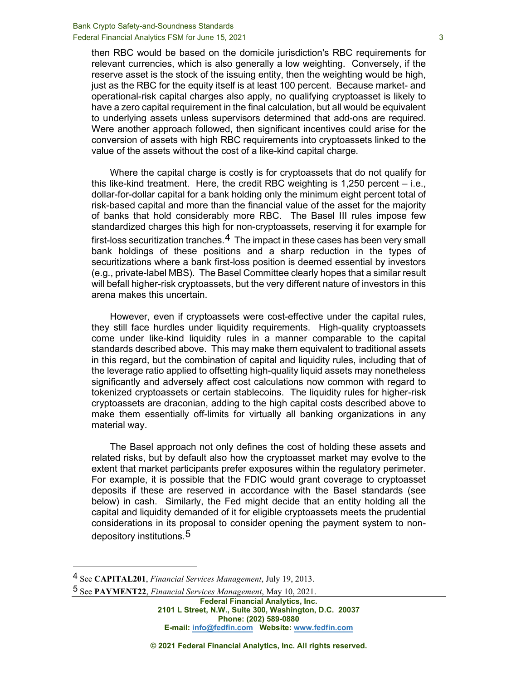then RBC would be based on the domicile jurisdiction's RBC requirements for relevant currencies, which is also generally a low weighting. Conversely, if the reserve asset is the stock of the issuing entity, then the weighting would be high, just as the RBC for the equity itself is at least 100 percent. Because market- and operational-risk capital charges also apply, no qualifying cryptoasset is likely to have a zero capital requirement in the final calculation, but all would be equivalent to underlying assets unless supervisors determined that add-ons are required. Were another approach followed, then significant incentives could arise for the conversion of assets with high RBC requirements into cryptoassets linked to the value of the assets without the cost of a like-kind capital charge.

Where the capital charge is costly is for cryptoassets that do not qualify for this like-kind treatment. Here, the credit RBC weighting is 1,250 percent – i.e., dollar-for-dollar capital for a bank holding only the minimum eight percent total of risk-based capital and more than the financial value of the asset for the majority of banks that hold considerably more RBC. The Basel III rules impose few standardized charges this high for non-cryptoassets, reserving it for example for first-loss securitization tranches. $4$  The impact in these cases has been very small bank holdings of these positions and a sharp reduction in the types of securitizations where a bank first-loss position is deemed essential by investors (e.g., private-label MBS). The Basel Committee clearly hopes that a similar result will befall higher-risk cryptoassets, but the very different nature of investors in this arena makes this uncertain.

However, even if cryptoassets were cost-effective under the capital rules, they still face hurdles under liquidity requirements. High-quality cryptoassets come under like-kind liquidity rules in a manner comparable to the capital standards described above. This may make them equivalent to traditional assets in this regard, but the combination of capital and liquidity rules, including that of the leverage ratio applied to offsetting high-quality liquid assets may nonetheless significantly and adversely affect cost calculations now common with regard to tokenized cryptoassets or certain stablecoins. The liquidity rules for higher-risk cryptoassets are draconian, adding to the high capital costs described above to make them essentially off-limits for virtually all banking organizations in any material way.

The Basel approach not only defines the cost of holding these assets and related risks, but by default also how the cryptoasset market may evolve to the extent that market participants prefer exposures within the regulatory perimeter. For example, it is possible that the FDIC would grant coverage to cryptoasset deposits if these are reserved in accordance with the Basel standards (see below) in cash. Similarly, the Fed might decide that an entity holding all the capital and liquidity demanded of it for eligible cryptoassets meets the prudential considerations in its proposal to consider opening the payment system to nondepository institutions.[5](#page-2-1)

<span id="page-2-1"></span>5 See **PAYMENT22**, *Financial Services Management*, May 10, 2021.

**Federal Financial Analytics, Inc. 2101 L Street, N.W., Suite 300, Washington, D.C. 20037 Phone: (202) 589-0880 E-mail: [info@fedfin.com](mailto:info@fedfin.com) Website: [www.fedfin.com](http://www.fedfin.com/)**

**© 2021 Federal Financial Analytics, Inc. All rights reserved.**

<span id="page-2-0"></span><sup>4</sup> See **CAPITAL201**, *Financial Services Management*, July 19, 2013.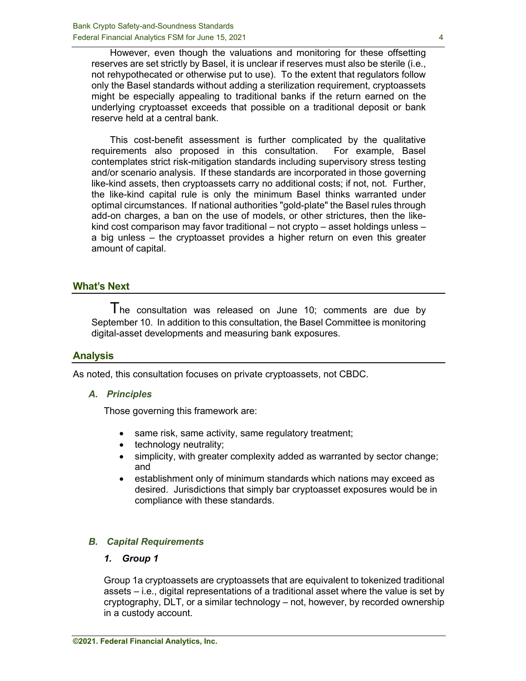However, even though the valuations and monitoring for these offsetting reserves are set strictly by Basel, it is unclear if reserves must also be sterile (i.e., not rehypothecated or otherwise put to use). To the extent that regulators follow only the Basel standards without adding a sterilization requirement, cryptoassets might be especially appealing to traditional banks if the return earned on the underlying cryptoasset exceeds that possible on a traditional deposit or bank reserve held at a central bank.

This cost-benefit assessment is further complicated by the qualitative requirements also proposed in this consultation. For example, Basel contemplates strict risk-mitigation standards including supervisory stress testing and/or scenario analysis. If these standards are incorporated in those governing like-kind assets, then cryptoassets carry no additional costs; if not, not. Further, the like-kind capital rule is only the minimum Basel thinks warranted under optimal circumstances. If national authorities "gold-plate" the Basel rules through add-on charges, a ban on the use of models, or other strictures, then the likekind cost comparison may favor traditional – not crypto – asset holdings unless – a big unless – the cryptoasset provides a higher return on even this greater amount of capital.

## **What's Next**

The consultation was released on June 10; comments are due by September 10. In addition to this consultation, the Basel Committee is monitoring digital-asset developments and measuring bank exposures.

## **Analysis**

As noted, this consultation focuses on private cryptoassets, not CBDC.

#### *A. Principles*

Those governing this framework are:

- same risk, same activity, same regulatory treatment;
- technology neutrality;
- simplicity, with greater complexity added as warranted by sector change; and
- establishment only of minimum standards which nations may exceed as desired. Jurisdictions that simply bar cryptoasset exposures would be in compliance with these standards.

## *B. Capital Requirements*

#### *1. Group 1*

Group 1a cryptoassets are cryptoassets that are equivalent to tokenized traditional assets – i.e., digital representations of a traditional asset where the value is set by cryptography, DLT, or a similar technology – not, however, by recorded ownership in a custody account.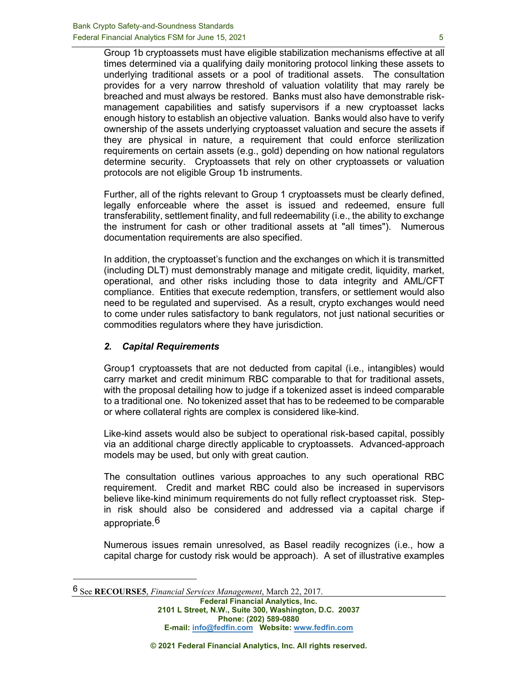Group 1b cryptoassets must have eligible stabilization mechanisms effective at all times determined via a qualifying daily monitoring protocol linking these assets to underlying traditional assets or a pool of traditional assets. The consultation provides for a very narrow threshold of valuation volatility that may rarely be breached and must always be restored. Banks must also have demonstrable riskmanagement capabilities and satisfy supervisors if a new cryptoasset lacks enough history to establish an objective valuation. Banks would also have to verify ownership of the assets underlying cryptoasset valuation and secure the assets if they are physical in nature, a requirement that could enforce sterilization requirements on certain assets (e.g., gold) depending on how national regulators determine security. Cryptoassets that rely on other cryptoassets or valuation protocols are not eligible Group 1b instruments.

Further, all of the rights relevant to Group 1 cryptoassets must be clearly defined, legally enforceable where the asset is issued and redeemed, ensure full transferability, settlement finality, and full redeemability (i.e., the ability to exchange the instrument for cash or other traditional assets at "all times"). Numerous documentation requirements are also specified.

In addition, the cryptoasset's function and the exchanges on which it is transmitted (including DLT) must demonstrably manage and mitigate credit, liquidity, market, operational, and other risks including those to data integrity and AML/CFT compliance. Entities that execute redemption, transfers, or settlement would also need to be regulated and supervised. As a result, crypto exchanges would need to come under rules satisfactory to bank regulators, not just national securities or commodities regulators where they have jurisdiction.

#### *2. Capital Requirements*

Group1 cryptoassets that are not deducted from capital (i.e., intangibles) would carry market and credit minimum RBC comparable to that for traditional assets, with the proposal detailing how to judge if a tokenized asset is indeed comparable to a traditional one. No tokenized asset that has to be redeemed to be comparable or where collateral rights are complex is considered like-kind.

Like-kind assets would also be subject to operational risk-based capital, possibly via an additional charge directly applicable to cryptoassets. Advanced-approach models may be used, but only with great caution.

The consultation outlines various approaches to any such operational RBC requirement. Credit and market RBC could also be increased in supervisors believe like-kind minimum requirements do not fully reflect cryptoasset risk. Stepin risk should also be considered and addressed via a capital charge if appropriate.[6](#page-4-0)

Numerous issues remain unresolved, as Basel readily recognizes (i.e., how a capital charge for custody risk would be approach). A set of illustrative examples

<span id="page-4-0"></span><sup>6</sup> See **RECOURSE5**, *Financial Services Management*, March 22, 2017.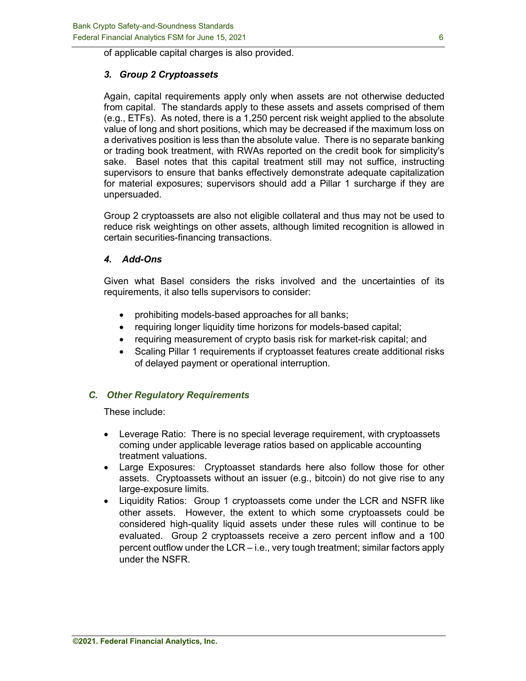of applicable capital charges is also provided.

## *3. Group 2 Cryptoassets*

Again, capital requirements apply only when assets are not otherwise deducted from capital. The standards apply to these assets and assets comprised of them (e.g., ETFs). As noted, there is a 1,250 percent risk weight applied to the absolute value of long and short positions, which may be decreased if the maximum loss on a derivatives position is less than the absolute value. There is no separate banking or trading book treatment, with RWAs reported on the credit book for simplicity's sake. Basel notes that this capital treatment still may not suffice, instructing supervisors to ensure that banks effectively demonstrate adequate capitalization for material exposures; supervisors should add a Pillar 1 surcharge if they are unpersuaded.

Group 2 cryptoassets are also not eligible collateral and thus may not be used to reduce risk weightings on other assets, although limited recognition is allowed in certain securities-financing transactions.

#### *4. Add-Ons*

Given what Basel considers the risks involved and the uncertainties of its requirements, it also tells supervisors to consider:

- prohibiting models-based approaches for all banks;
- requiring longer liquidity time horizons for models-based capital;
- requiring measurement of crypto basis risk for market-risk capital; and
- Scaling Pillar 1 requirements if cryptoasset features create additional risks of delayed payment or operational interruption.

## *C. Other Regulatory Requirements*

These include:

- Leverage Ratio: There is no special leverage requirement, with cryptoassets coming under applicable leverage ratios based on applicable accounting treatment valuations.
- Large Exposures: Cryptoasset standards here also follow those for other assets. Cryptoassets without an issuer (e.g., bitcoin) do not give rise to any large-exposure limits.
- Liquidity Ratios: Group 1 cryptoassets come under the LCR and NSFR like other assets. However, the extent to which some cryptoassets could be considered high-quality liquid assets under these rules will continue to be evaluated. Group 2 cryptoassets receive a zero percent inflow and a 100 percent outflow under the LCR – i.e., very tough treatment; similar factors apply under the NSFR.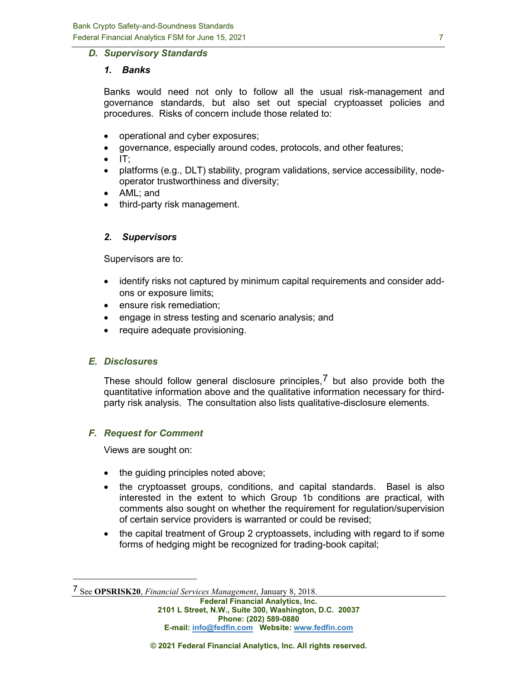#### *D. Supervisory Standards*

#### *1. Banks*

Banks would need not only to follow all the usual risk-management and governance standards, but also set out special cryptoasset policies and procedures. Risks of concern include those related to:

- operational and cyber exposures;
- governance, especially around codes, protocols, and other features;
- $\Pi$ :
- platforms (e.g., DLT) stability, program validations, service accessibility, nodeoperator trustworthiness and diversity;
- AML; and
- third-party risk management.

#### *2. Supervisors*

Supervisors are to:

- identify risks not captured by minimum capital requirements and consider addons or exposure limits;
- ensure risk remediation;
- engage in stress testing and scenario analysis; and
- require adequate provisioning.

#### *E. Disclosures*

These should follow general disclosure principles,  $7$  but also provide both the quantitative information above and the qualitative information necessary for thirdparty risk analysis. The consultation also lists qualitative-disclosure elements.

## *F. Request for Comment*

Views are sought on:

- the guiding principles noted above;
- the cryptoasset groups, conditions, and capital standards. Basel is also interested in the extent to which Group 1b conditions are practical, with comments also sought on whether the requirement for regulation/supervision of certain service providers is warranted or could be revised;
- the capital treatment of Group 2 cryptoassets, including with regard to if some forms of hedging might be recognized for trading-book capital;

<span id="page-6-0"></span><sup>7</sup> See **OPSRISK20**, *Financial Services Management*, January 8, 2018.